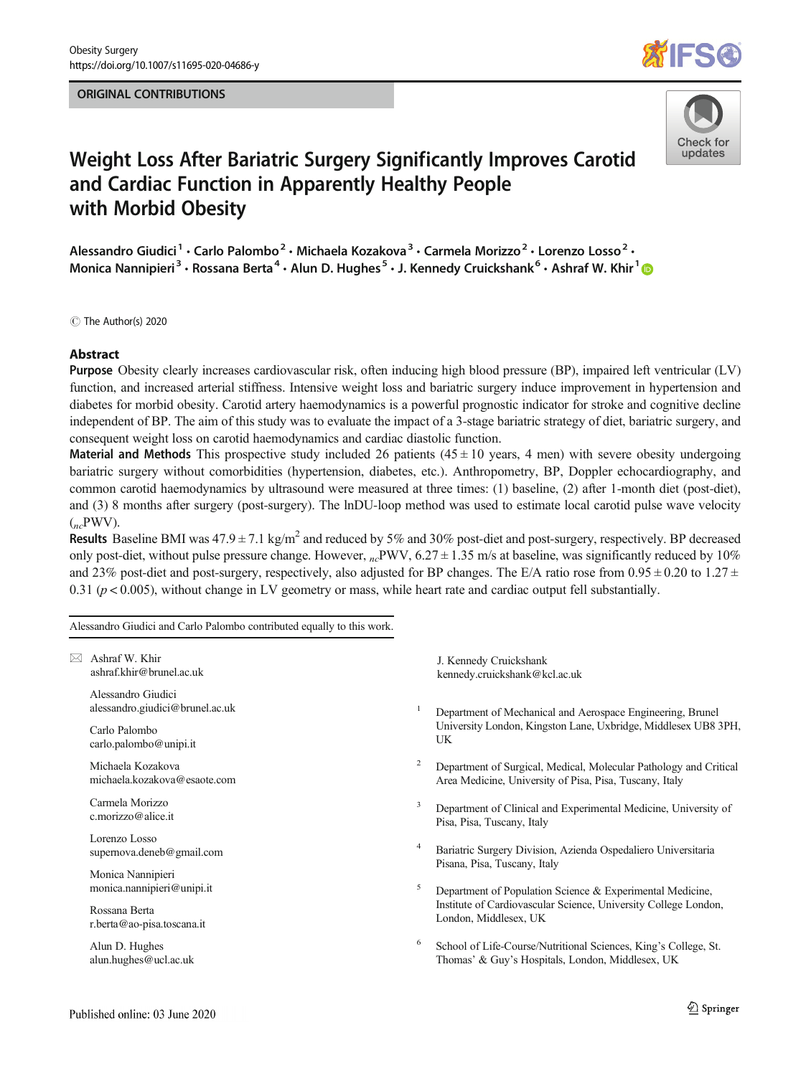## ORIGINAL CONTRIBUTIONS





# Weight Loss After Bariatric Surgery Significantly Improves Carotid and Cardiac Function in Apparently Healthy People with Morbid Obesity

Alessandro Giudici<sup>1</sup> · Carlo Palombo<sup>2</sup> · Michaela Kozakova<sup>3</sup> · Carmela Morizzo<sup>2</sup> · Lorenzo Losso<sup>2</sup> · Monica Nannipieri<sup>3</sup> · Rossana Berta<sup>4</sup> · Alun D. Hughes<sup>5</sup> · J. Kennedy Cruickshank<sup>6</sup> · Ashraf W. Khir<sup>1</sup> ©

C The Author(s) 2020

#### Abstract

Purpose Obesity clearly increases cardiovascular risk, often inducing high blood pressure (BP), impaired left ventricular (LV) function, and increased arterial stiffness. Intensive weight loss and bariatric surgery induce improvement in hypertension and diabetes for morbid obesity. Carotid artery haemodynamics is a powerful prognostic indicator for stroke and cognitive decline independent of BP. The aim of this study was to evaluate the impact of a 3-stage bariatric strategy of diet, bariatric surgery, and consequent weight loss on carotid haemodynamics and cardiac diastolic function.

**Material and Methods** This prospective study included 26 patients ( $45 \pm 10$  years, 4 men) with severe obesity undergoing bariatric surgery without comorbidities (hypertension, diabetes, etc.). Anthropometry, BP, Doppler echocardiography, and common carotid haemodynamics by ultrasound were measured at three times: (1) baseline, (2) after 1-month diet (post-diet), and (3) 8 months after surgery (post-surgery). The lnDU-loop method was used to estimate local carotid pulse wave velocity  $({}_{nc}$ PWV).

Results Baseline BMI was  $47.9 \pm 7.1$  kg/m<sup>2</sup> and reduced by 5% and 30% post-diet and post-surgery, respectively. BP decreased only post-diet, without pulse pressure change. However,  $n_c$ PWV, 6.27  $\pm$  1.35 m/s at baseline, was significantly reduced by 10% and 23% post-diet and post-surgery, respectively, also adjusted for BP changes. The E/A ratio rose from  $0.95 \pm 0.20$  to  $1.27 \pm$ 0.31 ( $p < 0.005$ ), without change in LV geometry or mass, while heart rate and cardiac output fell substantially.

Alessandro Giudici and Carlo Palombo contributed equally to this work.

 $\boxtimes$  Ashraf W. Khir [ashraf.khir@brunel.ac.uk](mailto:ashraf.khir@brunel.ac.uk)

> Alessandro Giudici alessandro.giudici@brunel.ac.uk

Carlo Palombo carlo.palombo@unipi.it

Michaela Kozakova michaela.kozakova@esaote.com

Carmela Morizzo c.morizzo@alice.it

Lorenzo Losso supernova.deneb@gmail.com

Monica Nannipieri monica.nannipieri@unipi.it

Rossana Berta r.berta@ao-pisa.toscana.it

Alun D. Hughes alun.hughes@ucl.ac.uk J. Kennedy Cruickshank kennedy.cruickshank@kcl.ac.uk

- <sup>1</sup> Department of Mechanical and Aerospace Engineering, Brunel University London, Kingston Lane, Uxbridge, Middlesex UB8 3PH, UK
- <sup>2</sup> Department of Surgical, Medical, Molecular Pathology and Critical Area Medicine, University of Pisa, Pisa, Tuscany, Italy
- <sup>3</sup> Department of Clinical and Experimental Medicine, University of Pisa, Pisa, Tuscany, Italy
- <sup>4</sup> Bariatric Surgery Division, Azienda Ospedaliero Universitaria Pisana, Pisa, Tuscany, Italy
- Department of Population Science & Experimental Medicine, Institute of Cardiovascular Science, University College London, London, Middlesex, UK
- School of Life-Course/Nutritional Sciences, King's College, St. Thomas' & Guy's Hospitals, London, Middlesex, UK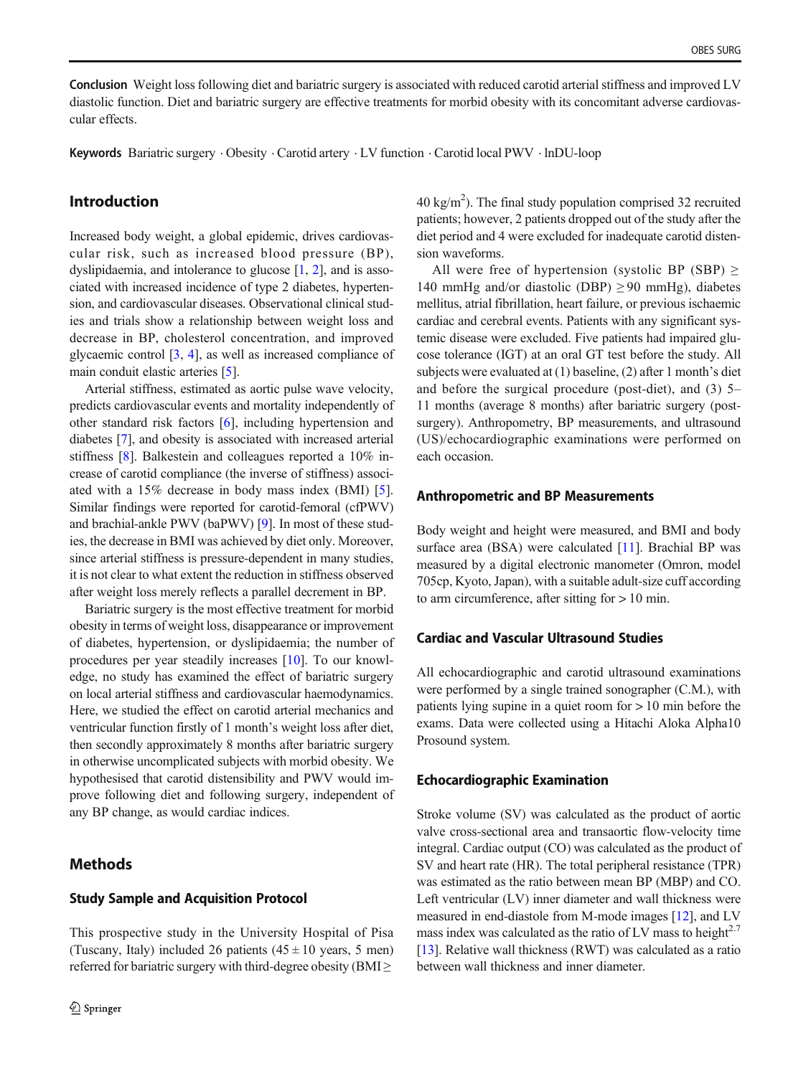<span id="page-1-0"></span>Conclusion Weight loss following diet and bariatric surgery is associated with reduced carotid arterial stiffness and improved LV diastolic function. Diet and bariatric surgery are effective treatments for morbid obesity with its concomitant adverse cardiovascular effects.

Keywords Bariatric surgery . Obesity . Carotid artery . LV function . Carotid local PWV . lnDU-loop

# Introduction

Increased body weight, a global epidemic, drives cardiovascular risk, such as increased blood pressure (BP), dyslipidaemia, and intolerance to glucose [\[1](#page-7-0), [2](#page-7-0)], and is associated with increased incidence of type 2 diabetes, hypertension, and cardiovascular diseases. Observational clinical studies and trials show a relationship between weight loss and decrease in BP, cholesterol concentration, and improved glycaemic control [\[3](#page-7-0), [4\]](#page-7-0), as well as increased compliance of main conduit elastic arteries [[5\]](#page-7-0).

Arterial stiffness, estimated as aortic pulse wave velocity, predicts cardiovascular events and mortality independently of other standard risk factors [\[6](#page-7-0)], including hypertension and diabetes [[7\]](#page-7-0), and obesity is associated with increased arterial stiffness [\[8](#page-7-0)]. Balkestein and colleagues reported a 10% increase of carotid compliance (the inverse of stiffness) associated with a 15% decrease in body mass index (BMI) [\[5](#page-7-0)]. Similar findings were reported for carotid-femoral (cfPWV) and brachial-ankle PWV (baPWV) [\[9](#page-7-0)]. In most of these studies, the decrease in BMI was achieved by diet only. Moreover, since arterial stiffness is pressure-dependent in many studies, it is not clear to what extent the reduction in stiffness observed after weight loss merely reflects a parallel decrement in BP.

Bariatric surgery is the most effective treatment for morbid obesity in terms of weight loss, disappearance or improvement of diabetes, hypertension, or dyslipidaemia; the number of procedures per year steadily increases [[10\]](#page-7-0). To our knowledge, no study has examined the effect of bariatric surgery on local arterial stiffness and cardiovascular haemodynamics. Here, we studied the effect on carotid arterial mechanics and ventricular function firstly of 1 month's weight loss after diet, then secondly approximately 8 months after bariatric surgery in otherwise uncomplicated subjects with morbid obesity. We hypothesised that carotid distensibility and PWV would improve following diet and following surgery, independent of any BP change, as would cardiac indices.

# Methods

### Study Sample and Acquisition Protocol

This prospective study in the University Hospital of Pisa (Tuscany, Italy) included 26 patients  $(45 \pm 10)$  years, 5 men) referred for bariatric surgery with third-degree obesity ( $BMI \geq$ 

 $40 \text{ kg/m}^2$ ). The final study population comprised 32 recruited patients; however, 2 patients dropped out of the study after the diet period and 4 were excluded for inadequate carotid distension waveforms.

All were free of hypertension (systolic BP (SBP)  $\ge$ 140 mmHg and/or diastolic (DBP)  $\geq$  90 mmHg), diabetes mellitus, atrial fibrillation, heart failure, or previous ischaemic cardiac and cerebral events. Patients with any significant systemic disease were excluded. Five patients had impaired glucose tolerance (IGT) at an oral GT test before the study. All subjects were evaluated at (1) baseline, (2) after 1 month's diet and before the surgical procedure (post-diet), and (3) 5– 11 months (average 8 months) after bariatric surgery (postsurgery). Anthropometry, BP measurements, and ultrasound (US)/echocardiographic examinations were performed on each occasion.

## Anthropometric and BP Measurements

Body weight and height were measured, and BMI and body surface area (BSA) were calculated [[11\]](#page-7-0). Brachial BP was measured by a digital electronic manometer (Omron, model 705cp, Kyoto, Japan), with a suitable adult-size cuff according to arm circumference, after sitting for  $> 10$  min.

# Cardiac and Vascular Ultrasound Studies

All echocardiographic and carotid ultrasound examinations were performed by a single trained sonographer (C.M.), with patients lying supine in a quiet room for > 10 min before the exams. Data were collected using a Hitachi Aloka Alpha10 Prosound system.

#### Echocardiographic Examination

Stroke volume (SV) was calculated as the product of aortic valve cross-sectional area and transaortic flow-velocity time integral. Cardiac output (CO) was calculated as the product of SV and heart rate (HR). The total peripheral resistance (TPR) was estimated as the ratio between mean BP (MBP) and CO. Left ventricular (LV) inner diameter and wall thickness were measured in end-diastole from M-mode images [\[12](#page-7-0)], and LV mass index was calculated as the ratio of LV mass to height<sup>2.7</sup> [\[13](#page-7-0)]. Relative wall thickness (RWT) was calculated as a ratio between wall thickness and inner diameter.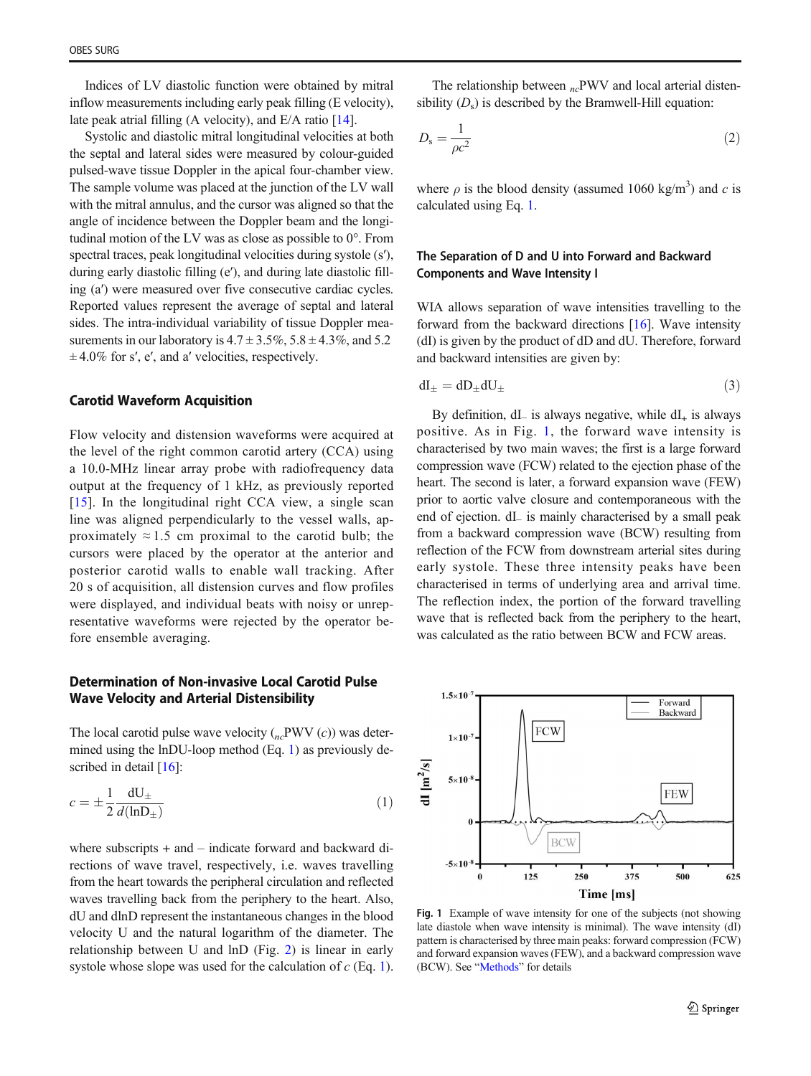Indices of LV diastolic function were obtained by mitral inflow measurements including early peak filling (E velocity), late peak atrial filling (A velocity), and E/A ratio [\[14\]](#page-7-0).

Systolic and diastolic mitral longitudinal velocities at both the septal and lateral sides were measured by colour-guided pulsed-wave tissue Doppler in the apical four-chamber view. The sample volume was placed at the junction of the LV wall with the mitral annulus, and the cursor was aligned so that the angle of incidence between the Doppler beam and the longitudinal motion of the LV was as close as possible to 0°. From spectral traces, peak longitudinal velocities during systole (s′), during early diastolic filling (e′), and during late diastolic filling (a′) were measured over five consecutive cardiac cycles. Reported values represent the average of septal and lateral sides. The intra-individual variability of tissue Doppler measurements in our laboratory is  $4.7 \pm 3.5\%$ ,  $5.8 \pm 4.3\%$ , and  $5.2$  $\pm$  4.0% for s', e', and a' velocities, respectively.

#### Carotid Waveform Acquisition

Flow velocity and distension waveforms were acquired at the level of the right common carotid artery (CCA) using a 10.0-MHz linear array probe with radiofrequency data output at the frequency of 1 kHz, as previously reported [\[15\]](#page-7-0). In the longitudinal right CCA view, a single scan line was aligned perpendicularly to the vessel walls, approximately  $\approx 1.5$  cm proximal to the carotid bulb; the cursors were placed by the operator at the anterior and posterior carotid walls to enable wall tracking. After 20 s of acquisition, all distension curves and flow profiles were displayed, and individual beats with noisy or unrepresentative waveforms were rejected by the operator before ensemble averaging.

# Determination of Non-invasive Local Carotid Pulse Wave Velocity and Arterial Distensibility

The local carotid pulse wave velocity  $({}_{nc}$ PWV  $(c)$ ) was determined using the lnDU-loop method (Eq. 1) as previously de-scribed in detail [[16\]](#page-7-0):

$$
c = \pm \frac{1}{2} \frac{dU_{\pm}}{d(\ln D_{\pm})}
$$
 (1)

where subscripts + and – indicate forward and backward directions of wave travel, respectively, i.e. waves travelling from the heart towards the peripheral circulation and reflected waves travelling back from the periphery to the heart. Also, dU and dlnD represent the instantaneous changes in the blood velocity U and the natural logarithm of the diameter. The relationship between U and lnD (Fig. [2](#page-5-0)) is linear in early systole whose slope was used for the calculation of  $c$  (Eq. 1).

The relationship between  $_{nc}$ PWV and local arterial distensibility  $(D_s)$  is described by the Bramwell-Hill equation:

$$
D_{\rm s} = \frac{1}{\rho c^2} \tag{2}
$$

where  $\rho$  is the blood density (assumed 1060 kg/m<sup>3</sup>) and c is calculated using Eq. 1.

## The Separation of D and U into Forward and Backward Components and Wave Intensity I

WIA allows separation of wave intensities travelling to the forward from the backward directions [\[16](#page-7-0)]. Wave intensity (dI) is given by the product of dD and dU. Therefore, forward and backward intensities are given by:

$$
dI_{\pm} = dD_{\pm} dU_{\pm} \tag{3}
$$

By definition, dL is always negative, while  $dI_+$  is always positive. As in Fig. 1, the forward wave intensity is characterised by two main waves; the first is a large forward compression wave (FCW) related to the ejection phase of the heart. The second is later, a forward expansion wave (FEW) prior to aortic valve closure and contemporaneous with the end of ejection. dI<sup>−</sup> is mainly characterised by a small peak from a backward compression wave (BCW) resulting from reflection of the FCW from downstream arterial sites during early systole. These three intensity peaks have been characterised in terms of underlying area and arrival time. The reflection index, the portion of the forward travelling wave that is reflected back from the periphery to the heart, was calculated as the ratio between BCW and FCW areas.

 $1.5\times10^{-7}$ Forward Backward **FCW**  $1\times10^{-7}$ dI  $\left[\text{m}^2/\text{s}\right]$  $5\times10$ **FEW**  $\mathbf{0}$ **BCW**  $-5 \times 10^{-7}$ 250 375 125 500 625 Time [ms]

Fig. 1 Example of wave intensity for one of the subjects (not showing late diastole when wave intensity is minimal). The wave intensity (dI) pattern is characterised by three main peaks: forward compression (FCW) and forward expansion waves (FEW), and a backward compression wave (BCW). See "[Methods](#page-1-0)" for details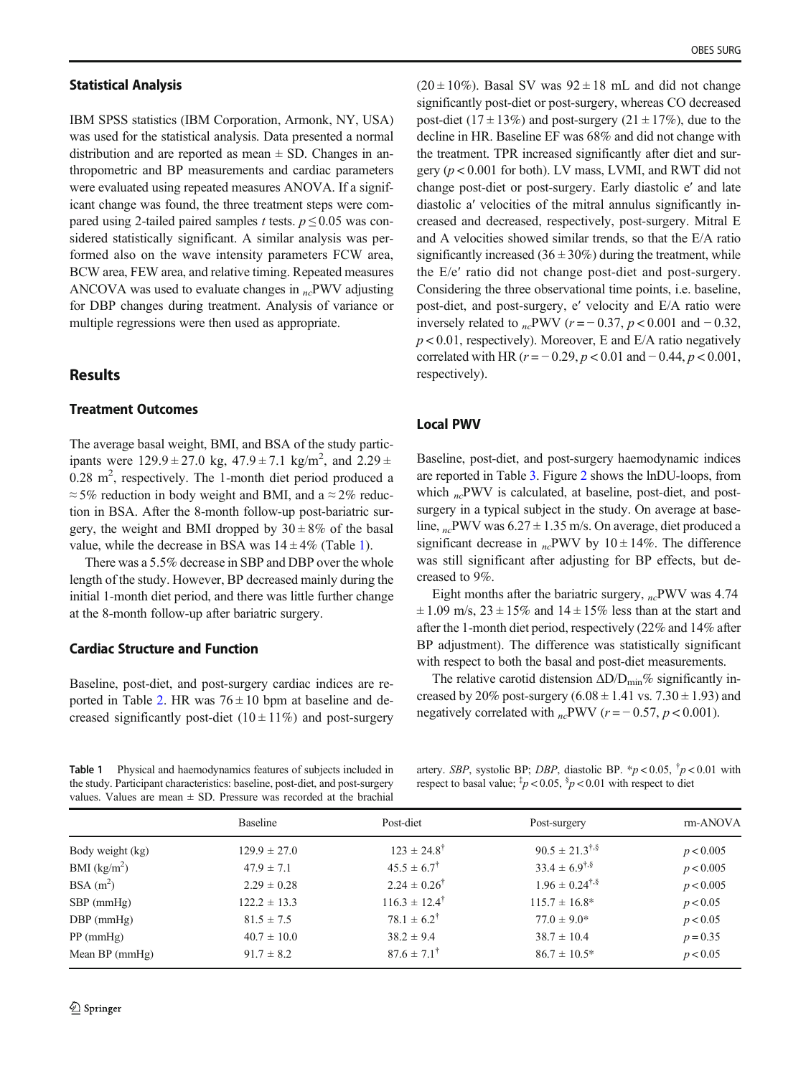#### Statistical Analysis

IBM SPSS statistics (IBM Corporation, Armonk, NY, USA) was used for the statistical analysis. Data presented a normal distribution and are reported as mean  $\pm$  SD. Changes in anthropometric and BP measurements and cardiac parameters were evaluated using repeated measures ANOVA. If a significant change was found, the three treatment steps were compared using 2-tailed paired samples t tests.  $p \le 0.05$  was considered statistically significant. A similar analysis was performed also on the wave intensity parameters FCW area, BCW area, FEW area, and relative timing. Repeated measures ANCOVA was used to evaluate changes in  $_{nc}$ PWV adjusting for DBP changes during treatment. Analysis of variance or multiple regressions were then used as appropriate.

## **Results**

# Treatment Outcomes

The average basal weight, BMI, and BSA of the study participants were  $129.9 \pm 27.0$  kg,  $47.9 \pm 7.1$  kg/m<sup>2</sup>, and  $2.29 \pm$  $0.28$  m<sup>2</sup>, respectively. The 1-month diet period produced a  $\approx$  5% reduction in body weight and BMI, and a  $\approx$  2% reduction in BSA. After the 8-month follow-up post-bariatric surgery, the weight and BMI dropped by  $30 \pm 8\%$  of the basal value, while the decrease in BSA was  $14 \pm 4\%$  (Table 1).

There was a 5.5% decrease in SBP and DBP over the whole length of the study. However, BP decreased mainly during the initial 1-month diet period, and there was little further change at the 8-month follow-up after bariatric surgery.

#### Cardiac Structure and Function

Baseline, post-diet, and post-surgery cardiac indices are re-ported in Table [2](#page-4-0). HR was  $76 \pm 10$  bpm at baseline and decreased significantly post-diet  $(10 \pm 11\%)$  and post-surgery

 $(20 \pm 10\%)$ . Basal SV was  $92 \pm 18$  mL and did not change significantly post-diet or post-surgery, whereas CO decreased post-diet ( $17 \pm 13\%$ ) and post-surgery ( $21 \pm 17\%$ ), due to the decline in HR. Baseline EF was 68% and did not change with the treatment. TPR increased significantly after diet and surgery ( $p < 0.001$  for both). LV mass, LVMI, and RWT did not change post-diet or post-surgery. Early diastolic e′ and late diastolic a′ velocities of the mitral annulus significantly increased and decreased, respectively, post-surgery. Mitral E and A velocities showed similar trends, so that the E/A ratio significantly increased  $(36 \pm 30\%)$  during the treatment, while the E/e′ ratio did not change post-diet and post-surgery. Considering the three observational time points, i.e. baseline, post-diet, and post-surgery, e′ velocity and E/A ratio were inversely related to  $_{nc}$ PWV (r = −0.37, p < 0.001 and −0.32,  $p < 0.01$ , respectively). Moreover, E and E/A ratio negatively correlated with HR ( $r = -0.29$ ,  $p < 0.01$  and  $-0.44$ ,  $p < 0.001$ , respectively).

## Local PWV

Baseline, post-diet, and post-surgery haemodynamic indices are reported in Table [3.](#page-4-0) Figure [2](#page-5-0) shows the lnDU-loops, from which  $_{nc}$ PWV is calculated, at baseline, post-diet, and postsurgery in a typical subject in the study. On average at baseline,  $n_c$ PWV was  $6.27 \pm 1.35$  m/s. On average, diet produced a significant decrease in  $n_c$ PWV by 10 ± 14%. The difference was still significant after adjusting for BP effects, but decreased to 9%.

Eight months after the bariatric surgery,  $_{nc}$ PWV was 4.74  $\pm$  1.09 m/s, 23  $\pm$  15% and 14  $\pm$  15% less than at the start and after the 1-month diet period, respectively (22% and 14% after BP adjustment). The difference was statistically significant with respect to both the basal and post-diet measurements.

The relative carotid distension  $\Delta D/D_{\text{min}}\%$  significantly increased by 20% post-surgery  $(6.08 \pm 1.41 \text{ vs. } 7.30 \pm 1.93)$  and negatively correlated with  $_{nc}$ PWV ( $r = -0.57$ ,  $p < 0.001$ ).

Table 1 Physical and haemodynamics features of subjects included in the study. Participant characteristics: baseline, post-diet, and post-surgery values. Values are mean  $\pm$  SD. Pressure was recorded at the brachial

artery. SBP, systolic BP; DBP, diastolic BP.  $* p < 0.05$ ,  $\frac{1}{7} p < 0.01$  with respect to basal value;  $\frac{1}{4}p < 0.05$ ,  $\frac{8}{9} < 0.01$  with respect to diet

|                  | Baseline         | Post-diet                  | Post-surgery                 | rm-ANOVA   |
|------------------|------------------|----------------------------|------------------------------|------------|
| Body weight (kg) | $129.9 \pm 27.0$ | $123 \pm 24.8^{\dagger}$   | $90.5 \pm 21.3^{\dagger,\S}$ | p < 0.005  |
| BMI $(kg/m^2)$   | $47.9 \pm 7.1$   | $45.5 \pm 6.7^{\dagger}$   | $33.4 \pm 6.9^{\dagger.8}$   | p < 0.005  |
| $BSA(m^2)$       | $2.29 \pm 0.28$  | $2.24 \pm 0.26^{\dagger}$  | $1.96 \pm 0.24^{\dagger,\S}$ | p < 0.005  |
| $SBP$ (mmHg)     | $122.2 \pm 13.3$ | $116.3 \pm 12.4^{\dagger}$ | $115.7 \pm 16.8^*$           | p < 0.05   |
| $DBP$ (mmHg)     | $81.5 \pm 7.5$   | $78.1 \pm 6.2^{\dagger}$   | $77.0 \pm 9.0^*$             | p < 0.05   |
| $PP$ (mmHg)      | $40.7 \pm 10.0$  | $38.2 \pm 9.4$             | $38.7 \pm 10.4$              | $p = 0.35$ |
| Mean $BP$ (mmHg) | $91.7 \pm 8.2$   | $87.6 \pm 7.1^{\dagger}$   | $86.7 \pm 10.5^*$            | p < 0.05   |
|                  |                  |                            |                              |            |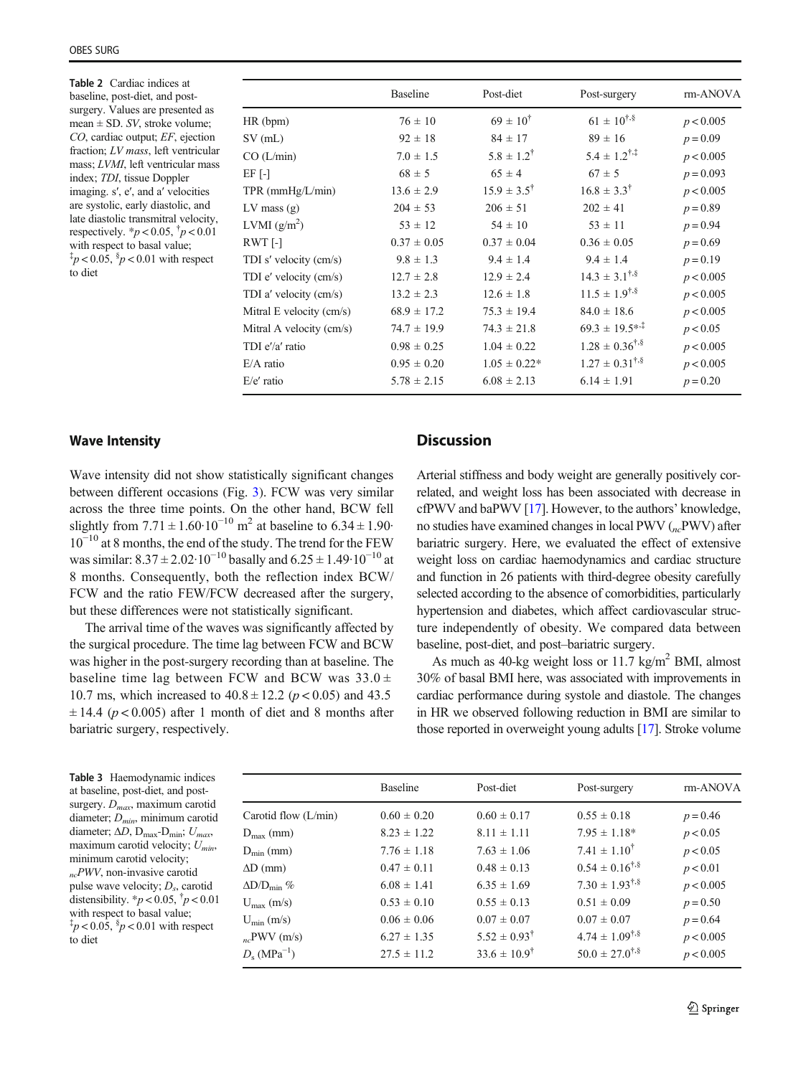<span id="page-4-0"></span>Table 2 Cardiac indices at baseline, post-diet, and postsurgery. Values are presented as mean  $\pm$  SD. SV, stroke volume; CO, cardiac output; EF, ejection fraction; LV mass, left ventricular mass; LVMI, left ventricular mass index; TDI, tissue Doppler imaging. s′, e′, and a′ velocities are systolic, early diastolic, and late diastolic transmitral velocity, respectively.  $^{*}p < 0.05, ^{t}p < 0.01$ with respect to basal value;  $\frac{1}{4}p < 0.05$ ,  $\frac{8}{9} < 0.01$  with respect to diet

|                          | <b>Baseline</b> | Post-diet                | Post-surgery                   | rm-ANOVA    |
|--------------------------|-----------------|--------------------------|--------------------------------|-------------|
| HR (bpm)                 | $76 \pm 10$     | $69 \pm 10^{4}$          | $61 \pm 10^{4.5}$              | p < 0.005   |
| $SV$ (mL)                | $92 \pm 18$     | $84 \pm 17$              | $89 \pm 16$                    | $p = 0.09$  |
| CO(L/min)                | $7.0 \pm 1.5$   | $5.8 \pm 1.2^{\dagger}$  | $5.4 \pm 1.2$ <sup>†,‡</sup>   | p < 0.005   |
| EF [-]                   | $68 \pm 5$      | $65 \pm 4$               | $67 \pm 5$                     | $p = 0.093$ |
| $TPR$ (mm $Hg/L/min$ )   | $13.6 \pm 2.9$  | $15.9 \pm 3.5^{\dagger}$ | $16.8 \pm 3.3^{\dagger}$       | p < 0.005   |
| $LV$ mass $(g)$          | $204 \pm 53$    | $206 \pm 51$             | $202 \pm 41$                   | $p = 0.89$  |
| LVMI $(g/m^2)$           | $53 \pm 12$     | $54 \pm 10$              | $53 \pm 11$                    | $p = 0.94$  |
| RWT [-]                  | $0.37 \pm 0.05$ | $0.37 \pm 0.04$          | $0.36 \pm 0.05$                | $p = 0.69$  |
| TDI s' velocity (cm/s)   | $9.8 \pm 1.3$   | $9.4 \pm 1.4$            | $9.4 \pm 1.4$                  | $p = 0.19$  |
| TDI e' velocity (cm/s)   | $12.7 \pm 2.8$  | $12.9 \pm 2.4$           | $14.3 \pm 3.1^{\dagger,\S}$    | p < 0.005   |
| TDI a' velocity (cm/s)   | $13.2 \pm 2.3$  | $12.6 \pm 1.8$           | $11.5 \pm 1.9^{\dagger,\S}$    | p < 0.005   |
| Mitral E velocity (cm/s) | $68.9 \pm 17.2$ | $75.3 \pm 19.4$          | $84.0 \pm 18.6$                | p < 0.005   |
| Mitral A velocity (cm/s) | $74.7 \pm 19.9$ | $74.3 \pm 21.8$          | $69.3 \pm 19.5$ * <sup>*</sup> | p < 0.05    |
| TDI e'/a' ratio          | $0.98 \pm 0.25$ | $1.04 \pm 0.22$          | $1.28 \pm 0.36^{\dagger,\S}$   | p < 0.005   |
| E/A ratio                | $0.95 \pm 0.20$ | $1.05 \pm 0.22*$         | $1.27 \pm 0.31^{\dagger,\S}$   | p < 0.005   |
| $E/e'$ ratio             | $5.78 \pm 2.15$ | $6.08 \pm 2.13$          | $6.14 \pm 1.91$                | $p = 0.20$  |
|                          |                 |                          |                                |             |

#### Wave Intensity

Wave intensity did not show statistically significant changes between different occasions (Fig. [3](#page-5-0)). FCW was very similar across the three time points. On the other hand, BCW fell slightly from  $7.71 \pm 1.60 \cdot 10^{-10}$  m<sup>2</sup> at baseline to  $6.34 \pm 1.90$ 10−<sup>10</sup> at 8 months, the end of the study. The trend for the FEW was similar:  $8.37 \pm 2.02 \cdot 10^{-10}$  basally and  $6.25 \pm 1.49 \cdot 10^{-10}$  at 8 months. Consequently, both the reflection index BCW/ FCW and the ratio FEW/FCW decreased after the surgery, but these differences were not statistically significant.

The arrival time of the waves was significantly affected by the surgical procedure. The time lag between FCW and BCW was higher in the post-surgery recording than at baseline. The baseline time lag between FCW and BCW was  $33.0 \pm$ 10.7 ms, which increased to  $40.8 \pm 12.2$  ( $p < 0.05$ ) and 43.5  $\pm$  14.4 ( $p$  < 0.005) after 1 month of diet and 8 months after bariatric surgery, respectively.

# **Discussion**

Arterial stiffness and body weight are generally positively correlated, and weight loss has been associated with decrease in cfPWV and baPWV [\[17\]](#page-7-0). However, to the authors' knowledge, no studies have examined changes in local PWV  $(n_c$ PWV) after bariatric surgery. Here, we evaluated the effect of extensive weight loss on cardiac haemodynamics and cardiac structure and function in 26 patients with third-degree obesity carefully selected according to the absence of comorbidities, particularly hypertension and diabetes, which affect cardiovascular structure independently of obesity. We compared data between baseline, post-diet, and post–bariatric surgery.

As much as 40-kg weight loss or 11.7 kg/m<sup>2</sup> BMI, almost 30% of basal BMI here, was associated with improvements in cardiac performance during systole and diastole. The changes in HR we observed following reduction in BMI are similar to those reported in overweight young adults [\[17\]](#page-7-0). Stroke volume

| Table 3 Haemodynamic indices                                                                           |
|--------------------------------------------------------------------------------------------------------|
| at baseline, post-diet, and post-                                                                      |
| surgery. $D_{max}$ , maximum carotid                                                                   |
| diameter; $D_{min}$ , minimum carotid                                                                  |
| diameter; $\Delta D$ , D <sub>max</sub> -D <sub>min</sub> ; $U_{max}$ ,                                |
| maximum carotid velocity; $U_{min}$ ,                                                                  |
| minimum carotid velocity;                                                                              |
| $\mathbf{D}\mathbf{H}\mathbf{H}\mathbf{H}^{\dagger}$ , $\mathbf{H}^{\dagger}$ , $\mathbf{H}^{\dagger}$ |

 $_{nc}$ PWV, non-invasive carotid pulse wave velocity;  $D<sub>s</sub>$ , carotid distensibility.  $* p < 0.05, \, \frac{1}{7} p < 0.01$ with respect to basal value;  $\frac{1}{4}p < 0.05$ ,  $\frac{8}{9} < 0.01$  with respect to diet

|                                  | <b>Baseline</b> | Post-diet                 | Post-surgery                 | rm-ANOVA   |
|----------------------------------|-----------------|---------------------------|------------------------------|------------|
| Carotid flow (L/min)             | $0.60 \pm 0.20$ | $0.60 \pm 0.17$           | $0.55 \pm 0.18$              | $p = 0.46$ |
| $D_{\text{max}}$ (mm)            | $8.23 \pm 1.22$ | $8.11 \pm 1.11$           | $7.95 \pm 1.18*$             | p < 0.05   |
| $D_{\min}$ (mm)                  | $7.76 \pm 1.18$ | $7.63 \pm 1.06$           | $7.41 \pm 1.10^{\dagger}$    | p < 0.05   |
| $\Delta D$ (mm)                  | $0.47 \pm 0.11$ | $0.48 \pm 0.13$           | $0.54 \pm 0.16^{\dagger,\S}$ | p < 0.01   |
| $\Delta D/D_{\rm min}$ %         | $6.08 \pm 1.41$ | $6.35 \pm 1.69$           | $7.30 \pm 1.93^{\dagger,\S}$ | p < 0.005  |
| $U_{\text{max}}$ (m/s)           | $0.53 \pm 0.10$ | $0.55 \pm 0.13$           | $0.51 \pm 0.09$              | $p = 0.50$ |
| $U_{\min}$ (m/s)                 | $0.06 \pm 0.06$ | $0.07 \pm 0.07$           | $0.07 \pm 0.07$              | $p = 0.64$ |
| $_{nc}$ PWV (m/s)                | $6.27 \pm 1.35$ | $5.52 \pm 0.93^{\dagger}$ | $4.74 \pm 1.09^{\dagger,\S}$ | p < 0.005  |
| $D_{\rm s}$ (MPa <sup>-1</sup> ) | $27.5 \pm 11.2$ | $33.6 \pm 10.9^{\dagger}$ | $50.0 \pm 27.0^{\dagger.8}$  | p < 0.005  |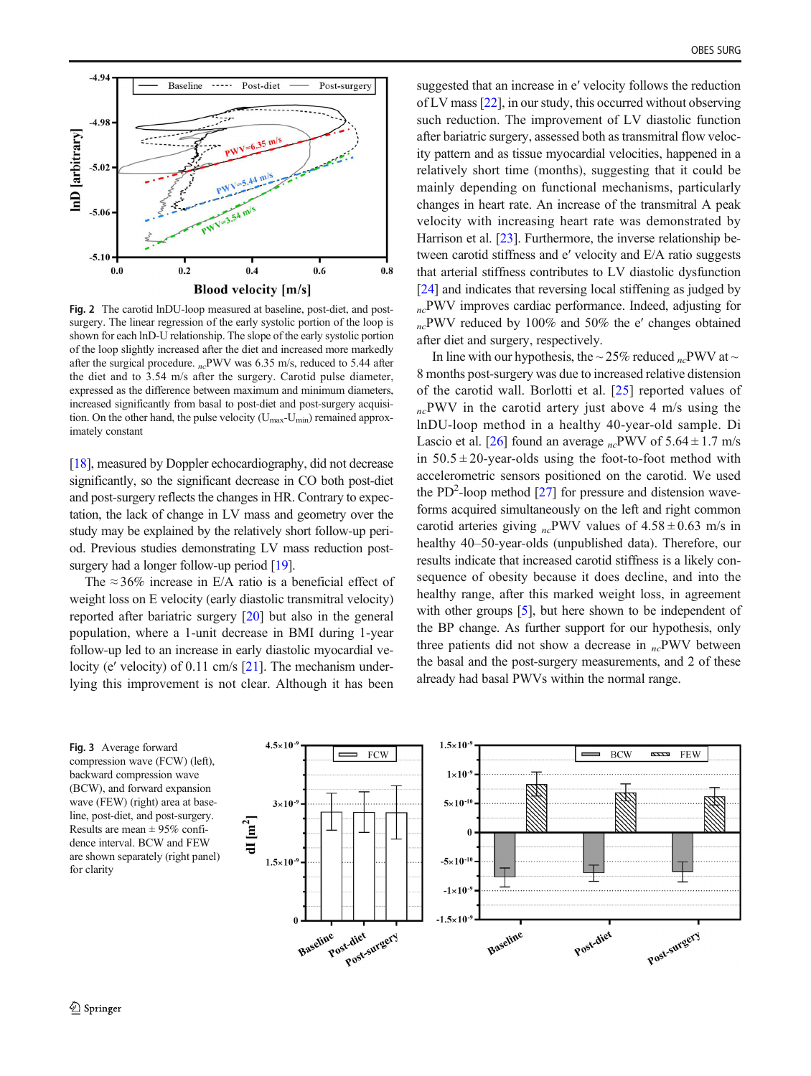<span id="page-5-0"></span>

Fig. 2 The carotid lnDU-loop measured at baseline, post-diet, and postsurgery. The linear regression of the early systolic portion of the loop is shown for each lnD-U relationship. The slope of the early systolic portion of the loop slightly increased after the diet and increased more markedly after the surgical procedure.  $n_c$ PWV was 6.35 m/s, reduced to 5.44 after the diet and to 3.54 m/s after the surgery. Carotid pulse diameter, expressed as the difference between maximum and minimum diameters, increased significantly from basal to post-diet and post-surgery acquisition. On the other hand, the pulse velocity  $(U_{\text{max}}-U_{\text{min}})$  remained approximately constant

[\[18\]](#page-7-0), measured by Doppler echocardiography, did not decrease significantly, so the significant decrease in CO both post-diet and post-surgery reflects the changes in HR. Contrary to expectation, the lack of change in LV mass and geometry over the study may be explained by the relatively short follow-up period. Previous studies demonstrating LV mass reduction post-surgery had a longer follow-up period [\[19\]](#page-7-0).

The  $\approx 36\%$  increase in E/A ratio is a beneficial effect of weight loss on E velocity (early diastolic transmitral velocity) reported after bariatric surgery [[20\]](#page-7-0) but also in the general population, where a 1-unit decrease in BMI during 1-year follow-up led to an increase in early diastolic myocardial ve-locity (e' velocity) of 0.11 cm/s [[21](#page-7-0)]. The mechanism underlying this improvement is not clear. Although it has been

suggested that an increase in e′ velocity follows the reduction of LV mass [[22](#page-7-0)], in our study, this occurred without observing such reduction. The improvement of LV diastolic function after bariatric surgery, assessed both as transmitral flow velocity pattern and as tissue myocardial velocities, happened in a relatively short time (months), suggesting that it could be mainly depending on functional mechanisms, particularly changes in heart rate. An increase of the transmitral A peak velocity with increasing heart rate was demonstrated by Harrison et al. [\[23](#page-7-0)]. Furthermore, the inverse relationship between carotid stiffness and e′ velocity and E/A ratio suggests that arterial stiffness contributes to LV diastolic dysfunction [\[24](#page-7-0)] and indicates that reversing local stiffening as judged by  $n_c$ PWV improves cardiac performance. Indeed, adjusting for ncPWV reduced by 100% and 50% the e′ changes obtained after diet and surgery, respectively.

In line with our hypothesis, the  $\sim$  25% reduced <sub>nc</sub>PWV at  $\sim$ 8 months post-surgery was due to increased relative distension of the carotid wall. Borlotti et al. [\[25](#page-7-0)] reported values of  $_{nc}$ PWV in the carotid artery just above 4 m/s using the lnDU-loop method in a healthy 40-year-old sample. Di Lascio et al. [[26\]](#page-7-0) found an average <sub>nc</sub>PWV of  $5.64 \pm 1.7$  m/s in  $50.5 \pm 20$ -year-olds using the foot-to-foot method with accelerometric sensors positioned on the carotid. We used the PD<sup>2</sup>-loop method  $[27]$  $[27]$  for pressure and distension waveforms acquired simultaneously on the left and right common carotid arteries giving <sub>nc</sub>PWV values of  $4.58 \pm 0.63$  m/s in healthy 40–50-year-olds (unpublished data). Therefore, our results indicate that increased carotid stiffness is a likely consequence of obesity because it does decline, and into the healthy range, after this marked weight loss, in agreement with other groups [\[5\]](#page-7-0), but here shown to be independent of the BP change. As further support for our hypothesis, only three patients did not show a decrease in  $_{nc}$ PWV between the basal and the post-surgery measurements, and 2 of these already had basal PWVs within the normal range.

Fig. 3 Average forward compression wave (FCW) (left), backward compression wave (BCW), and forward expansion wave (FEW) (right) area at baseline, post-diet, and post-surgery. Results are mean ± 95% confidence interval. BCW and FEW are shown separately (right panel) for clarity

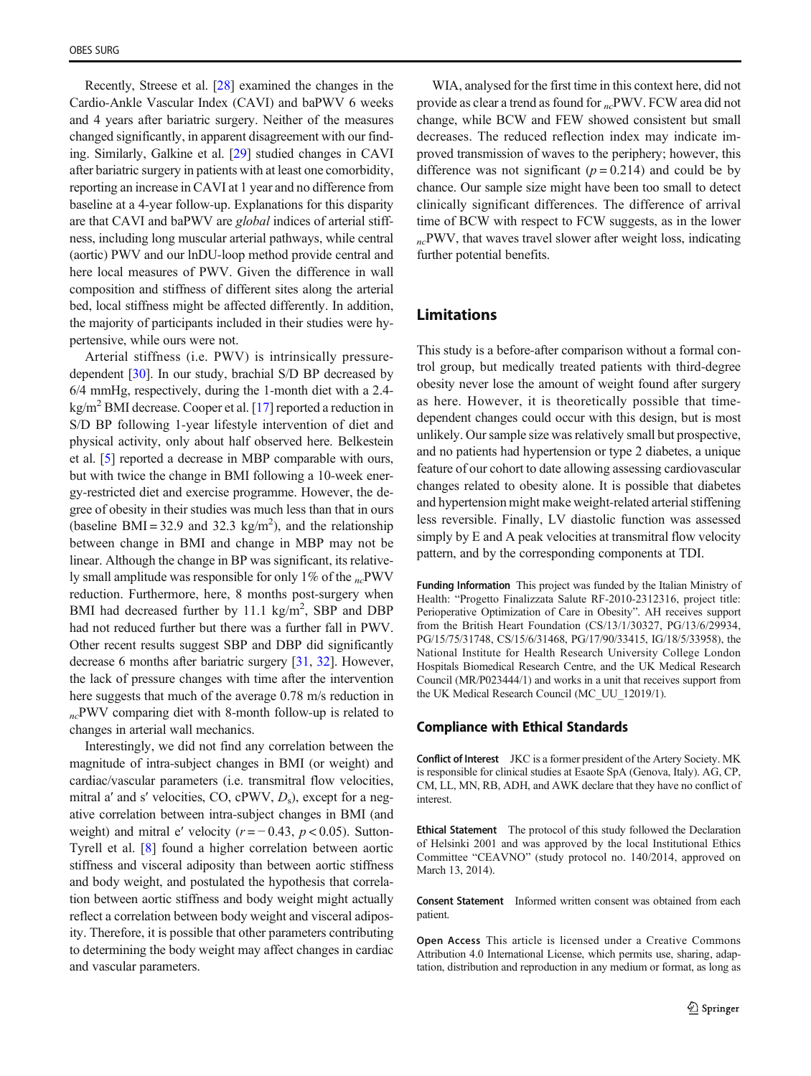Recently, Streese et al. [\[28](#page-7-0)] examined the changes in the Cardio-Ankle Vascular Index (CAVI) and baPWV 6 weeks and 4 years after bariatric surgery. Neither of the measures changed significantly, in apparent disagreement with our finding. Similarly, Galkine et al. [\[29](#page-7-0)] studied changes in CAVI after bariatric surgery in patients with at least one comorbidity, reporting an increase in CAVI at 1 year and no difference from baseline at a 4-year follow-up. Explanations for this disparity are that CAVI and baPWV are global indices of arterial stiffness, including long muscular arterial pathways, while central (aortic) PWV and our lnDU-loop method provide central and here local measures of PWV. Given the difference in wall composition and stiffness of different sites along the arterial bed, local stiffness might be affected differently. In addition, the majority of participants included in their studies were hypertensive, while ours were not.

Arterial stiffness (i.e. PWV) is intrinsically pressuredependent [\[30](#page-7-0)]. In our study, brachial S/D BP decreased by 6/4 mmHg, respectively, during the 1-month diet with a 2.4  $kg/m<sup>2</sup>$  BMI decrease. Cooper et al. [\[17\]](#page-7-0) reported a reduction in S/D BP following 1-year lifestyle intervention of diet and physical activity, only about half observed here. Belkestein et al. [[5\]](#page-7-0) reported a decrease in MBP comparable with ours, but with twice the change in BMI following a 10-week energy-restricted diet and exercise programme. However, the degree of obesity in their studies was much less than that in ours (baseline BMI = 32.9 and 32.3 kg/m<sup>2</sup>), and the relationship between change in BMI and change in MBP may not be linear. Although the change in BP was significant, its relatively small amplitude was responsible for only 1% of the  $n_c$ PWV reduction. Furthermore, here, 8 months post-surgery when BMI had decreased further by  $11.1 \text{ kg/m}^2$ , SBP and DBP had not reduced further but there was a further fall in PWV. Other recent results suggest SBP and DBP did significantly decrease 6 months after bariatric surgery [\[31](#page-7-0), [32](#page-7-0)]. However, the lack of pressure changes with time after the intervention here suggests that much of the average 0.78 m/s reduction in  $n_c$ PWV comparing diet with 8-month follow-up is related to changes in arterial wall mechanics.

Interestingly, we did not find any correlation between the magnitude of intra-subject changes in BMI (or weight) and cardiac/vascular parameters (i.e. transmitral flow velocities, mitral a' and s' velocities, CO, cPWV,  $D_s$ ), except for a negative correlation between intra-subject changes in BMI (and weight) and mitral e' velocity  $(r = -0.43, p < 0.05)$ . Sutton-Tyrell et al. [[8\]](#page-7-0) found a higher correlation between aortic stiffness and visceral adiposity than between aortic stiffness and body weight, and postulated the hypothesis that correlation between aortic stiffness and body weight might actually reflect a correlation between body weight and visceral adiposity. Therefore, it is possible that other parameters contributing to determining the body weight may affect changes in cardiac and vascular parameters.

WIA, analysed for the first time in this context here, did not provide as clear a trend as found for  $n_c$ PWV. FCW area did not change, while BCW and FEW showed consistent but small decreases. The reduced reflection index may indicate improved transmission of waves to the periphery; however, this difference was not significant  $(p = 0.214)$  and could be by chance. Our sample size might have been too small to detect clinically significant differences. The difference of arrival time of BCW with respect to FCW suggests, as in the lower  $n_c$ PWV, that waves travel slower after weight loss, indicating further potential benefits.

# Limitations

This study is a before-after comparison without a formal control group, but medically treated patients with third-degree obesity never lose the amount of weight found after surgery as here. However, it is theoretically possible that timedependent changes could occur with this design, but is most unlikely. Our sample size was relatively small but prospective, and no patients had hypertension or type 2 diabetes, a unique feature of our cohort to date allowing assessing cardiovascular changes related to obesity alone. It is possible that diabetes and hypertension might make weight-related arterial stiffening less reversible. Finally, LV diastolic function was assessed simply by E and A peak velocities at transmitral flow velocity pattern, and by the corresponding components at TDI.

Funding Information This project was funded by the Italian Ministry of Health: "Progetto Finalizzata Salute RF-2010-2312316, project title: Perioperative Optimization of Care in Obesity". AH receives support from the British Heart Foundation (CS/13/1/30327, PG/13/6/29934, PG/15/75/31748, CS/15/6/31468, PG/17/90/33415, IG/18/5/33958), the National Institute for Health Research University College London Hospitals Biomedical Research Centre, and the UK Medical Research Council (MR/P023444/1) and works in a unit that receives support from the UK Medical Research Council (MC\_UU\_12019/1).

#### Compliance with Ethical Standards

Conflict of Interest JKC is a former president of the Artery Society. MK is responsible for clinical studies at Esaote SpA (Genova, Italy). AG, CP, CM, LL, MN, RB, ADH, and AWK declare that they have no conflict of interest.

Ethical Statement The protocol of this study followed the Declaration of Helsinki 2001 and was approved by the local Institutional Ethics Committee "CEAVNO" (study protocol no. 140/2014, approved on March 13, 2014).

Consent Statement Informed written consent was obtained from each patient.

Open Access This article is licensed under a Creative Commons Attribution 4.0 International License, which permits use, sharing, adaptation, distribution and reproduction in any medium or format, as long as